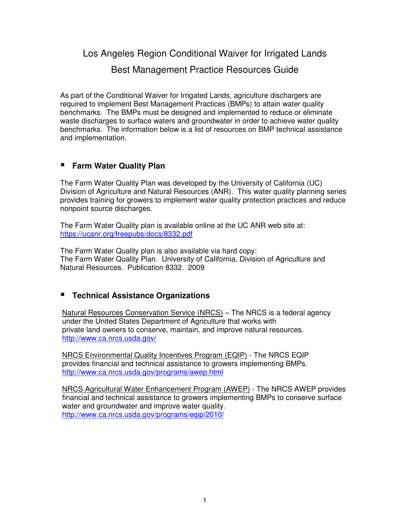# Los Angeles Region Conditional Waiver for Irrigated Lands Best Management Practice Resources Guide

As part of the Conditional Waiver for Irrigated Lands, agriculture dischargers are required to implement Best Management Practices (BMPs) to attain water quality benchmarks. The BMPs must be designed and implemented to reduce or eliminate waste discharges to surface waters and groundwater in order to achieve water quality benchmarks. The information below is a list of resources on BMP technical assistance and implementation.

## **Farm Water Quality Plan**

The Farm Water Quality Plan was developed by the University of California (UC) Division of Agriculture and Natural Resources (ANR). This water quality planning series provides training for growers to implement water quality protection practices and reduce nonpoint source discharges.

The Farm Water Quality plan is available online at the UC ANR web site at: https://ucanr.org/freepubs/docs/8332.pdf

The Farm Water Quality plan is also available via hard copy: The Farm Water Quality Plan. University of California, Division of Agriculture and Natural Resources. Publication 8332. 2009

# **Technical Assistance Organizations**

Natural Resources Conservation Service (NRCS) – The NRCS is a federal agency under the United States Department of Agriculture that works with private land owners to conserve, maintain, and improve natural resources. http://www.ca.nrcs.usda.gov/

NRCS Environmental Quality Incentives Program (EQIP) - The NRCS EQIP provides financial and technical assistance to growers implementing BMPs. http://www.ca.nrcs.usda.gov/programs/awep.html

NRCS Agricultural Water Enhancement Program (AWEP) - The NRCS AWEP provides financial and technical assistance to growers implementing BMPs to conserve surface water and groundwater and improve water quality. http://www.ca.nrcs.usda.gov/programs/eqip/2010/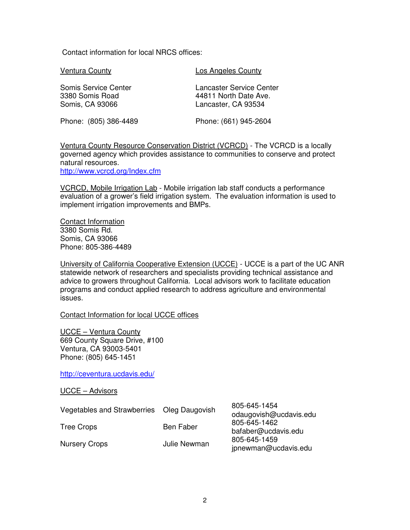Contact information for local NRCS offices:

Ventura County

Los Angeles County

Somis Service Center 3380 Somis Road Somis, CA 93066

Lancaster Service Center 44811 North Date Ave. Lancaster, CA 93534

Phone: (805) 386-4489

Phone: (661) 945-2604

Ventura County Resource Conservation District (VCRCD) - The VCRCD is a locally governed agency which provides assistance to communities to conserve and protect natural resources.

http://www.vcrcd.org/Index.cfm

VCRCD, Mobile Irrigation Lab - Mobile irrigation lab staff conducts a performance evaluation of a grower's field irrigation system. The evaluation information is used to implement irrigation improvements and BMPs.

Contact Information 3380 Somis Rd. Somis, CA 93066 Phone: 805-386-4489

University of California Cooperative Extension (UCCE) - UCCE is a part of the UC ANR statewide network of researchers and specialists providing technical assistance and advice to growers throughout California. Local advisors work to facilitate education programs and conduct applied research to address agriculture and environmental issues.

Contact Information for local UCCE offices

UCCE – Ventura County 669 County Square Drive, #100 Ventura, CA 93003-5401 Phone: (805) 645-1451

http://ceventura.ucdavis.edu/

UCCE – Advisors

| Vegetables and Strawberries Oleg Daugovish |              | 805-645-1454<br>odaugovish@ucdavis.edu                                      |
|--------------------------------------------|--------------|-----------------------------------------------------------------------------|
| Tree Crops                                 | Ben Faber    | 805-645-1462<br>bafaber@ucdavis.edu<br>805-645-1459<br>jpnewman@ucdavis.edu |
| <b>Nursery Crops</b>                       | Julie Newman |                                                                             |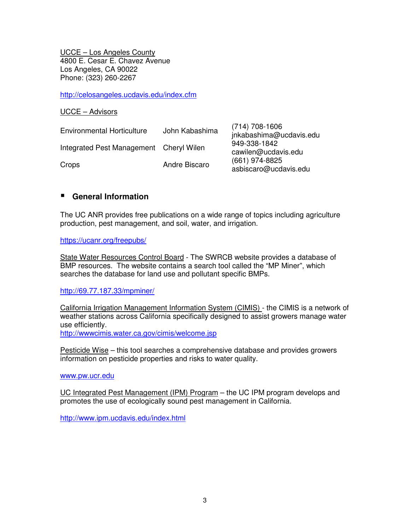UCCE – Los Angeles County 4800 E. Cesar E. Chavez Avenue Los Angeles, CA 90022 Phone: (323) 260-2267

http://celosangeles.ucdavis.edu/index.cfm

#### UCCE – Advisors

| <b>Environmental Horticulture</b>       | John Kabashima | $(714) 708 - 1606$<br>jnkabashima@ucdavis.edu |
|-----------------------------------------|----------------|-----------------------------------------------|
| Integrated Pest Management Cheryl Wilen |                | 949-338-1842<br>cawilen@ucdavis.edu           |
| Crops                                   | Andre Biscaro  | $(661)$ 974-8825<br>asbiscaro@ucdavis.edu     |

### **General Information**

The UC ANR provides free publications on a wide range of topics including agriculture production, pest management, and soil, water, and irrigation.

https://ucanr.org/freepubs/

State Water Resources Control Board - The SWRCB website provides a database of BMP resources. The website contains a search tool called the "MP Miner", which searches the database for land use and pollutant specific BMPs.

http://69.77.187.33/mpminer/

California Irrigation Management Information System (CIMIS) - the CIMIS is a network of weather stations across California specifically designed to assist growers manage water use efficiently.

http://wwwcimis.water.ca.gov/cimis/welcome.jsp

Pesticide Wise – this tool searches a comprehensive database and provides growers information on pesticide properties and risks to water quality.

#### www.pw.ucr.edu

UC Integrated Pest Management (IPM) Program – the UC IPM program develops and promotes the use of ecologically sound pest management in California.

http://www.ipm.ucdavis.edu/index.html